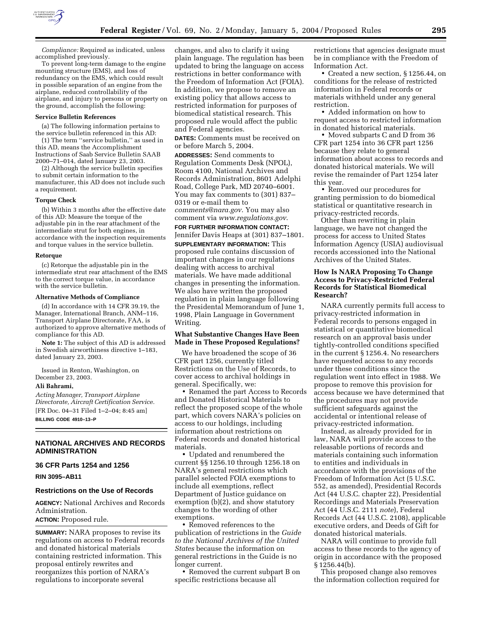

*Compliance:* Required as indicated, unless accomplished previously.

To prevent long-term damage to the engine mounting structure (EMS), and loss of redundancy on the EMS, which could result in possible separation of an engine from the airplane, reduced controllability of the airplane, and injury to persons or property on the ground, accomplish the following:

#### **Service Bulletin References**

(a) The following information pertains to the service bulletin referenced in this AD:

(1) The term ''service bulletin,'' as used in this AD, means the Accomplishment Instructions of Saab Service Bulletin SAAB 2000–71–014, dated January 23, 2003.

(2) Although the service bulletin specifies to submit certain information to the manufacturer, this AD does not include such a requirement.

#### **Torque Check**

(b) Within 3 months after the effective date of this AD: Measure the torque of the adjustable pin in the rear attachment of the intermediate strut for both engines, in accordance with the inspection requirements and torque values in the service bulletin.

#### **Retorque**

(c) Retorque the adjustable pin in the intermediate strut rear attachment of the EMS to the correct torque value, in accordance with the service bulletin.

#### **Alternative Methods of Compliance**

(d) In accordance with 14 CFR 39.19, the Manager, International Branch, ANM–116, Transport Airplane Directorate, FAA, is authorized to approve alternative methods of compliance for this AD.

**Note 1:** The subject of this AD is addressed in Swedish airworthiness directive 1–183, dated January 23, 2003.

Issued in Renton, Washington, on December 23, 2003.

#### **Ali Bahrami,**

*Acting Manager, Transport Airplane Directorate, Aircraft Certification Service.* [FR Doc. 04–31 Filed 1–2–04; 8:45 am] **BILLING CODE 4910–13–P**

# **NATIONAL ARCHIVES AND RECORDS ADMINISTRATION**

## **36 CFR Parts 1254 and 1256**

**RIN 3095–AB11** 

#### **Restrictions on the Use of Records**

**AGENCY:** National Archives and Records Administration.

**ACTION:** Proposed rule.

**SUMMARY:** NARA proposes to revise its regulations on access to Federal records and donated historical materials containing restricted information. This proposal entirely rewrites and reorganizes this portion of NARA's regulations to incorporate several

changes, and also to clarify it using plain language. The regulation has been updated to bring the language on access restrictions in better conformance with the Freedom of Information Act (FOIA). In addition, we propose to remove an existing policy that allows access to restricted information for purposes of biomedical statistical research. This proposed rule would affect the public and Federal agencies.

**DATES:** Comments must be received on or before March 5, 2004.

**ADDRESSES:** Send comments to Regulation Comments Desk (NPOL), Room 4100, National Archives and Records Administration, 8601 Adelphi Road, College Park, MD 20740–6001. You may fax comments to (301) 837– 0319 or e-mail them to *comments@nara.gov*. You may also comment via *www.regulations.gov*.

#### **FOR FURTHER INFORMATION CONTACT:**

Jennifer Davis Heaps at (301) 837–1801. **SUPPLEMENTARY INFORMATION:** This proposed rule contains discussion of important changes in our regulations dealing with access to archival materials. We have made additional changes in presenting the information. We also have written the proposed regulation in plain language following the Presidental Memorandum of June 1, 1998, Plain Language in Government Writing.

# **What Substantive Changes Have Been Made in These Proposed Regulations?**

We have broadened the scope of 36 CFR part 1256, currently titled Restrictions on the Use of Records, to cover access to archival holdings in general. Specifically, we:

• Renamed the part Access to Records and Donated Historical Materials to reflect the proposed scope of the whole part, which covers NARA's policies on access to our holdings, including information about restrictions on Federal records and donated historical materials.

• Updated and renumbered the current §§ 1256.10 through 1256.18 on NARA's general restrictions which parallel selected FOIA exemptions to include all exemptions, reflect Department of Justice guidance on exemption (b)(2), and show statutory changes to the wording of other exemptions.

• Removed references to the publication of restrictions in the *Guide to the National Archives of the United States* because the information on general restrictions in the Guide is no longer current.

• Removed the current subpart B on specific restrictions because all

restrictions that agencies designate must be in compliance with the Freedom of Information Act.

• Created a new section, § 1256.44, on conditions for the release of restricted information in Federal records or materials withheld under any general restriction.

• Added information on how to request access to restricted information in donated historical materials.

• Moved subparts C and D from 36 CFR part 1254 into 36 CFR part 1256 because they relate to general information about access to records and donated historical materials. We will revise the remainder of Part 1254 later this year.

• Removed our procedures for granting permission to do biomedical statistical or quantitative research in privacy-restricted records.

Other than rewriting in plain language, we have not changed the process for access to United States Information Agency (USIA) audiovisual records accessioned into the National Archives of the United States.

# **How Is NARA Proposing To Change Access to Privacy-Restricted Federal Records for Statistical Biomedical Research?**

NARA currently permits full access to privacy-restricted information in Federal records to persons engaged in statistical or quantitative biomedical research on an approval basis under tightly-controlled conditions specified in the current § 1256.4. No researchers have requested access to any records under these conditions since the regulation went into effect in 1988. We propose to remove this provision for access because we have determined that the procedures may not provide sufficient safeguards against the accidental or intentional release of privacy-restricted information.

Instead, as already provided for in law, NARA will provide access to the releasable portions of records and materials containing such information to entities and individuals in accordance with the provisions of the Freedom of Information Act (5 U.S.C. 552, as amended), Presidential Records Act (44 U.S.C. chapter 22), Presidential Recordings and Materials Preservation Act (44 U.S.C. 2111 *note*), Federal Records Act (44 U.S.C. 2108), applicable executive orders, and Deeds of Gift for donated historical materials.

NARA will continue to provide full access to these records to the agency of origin in accordance with the proposed § 1256.44(b).

This proposed change also removes the information collection required for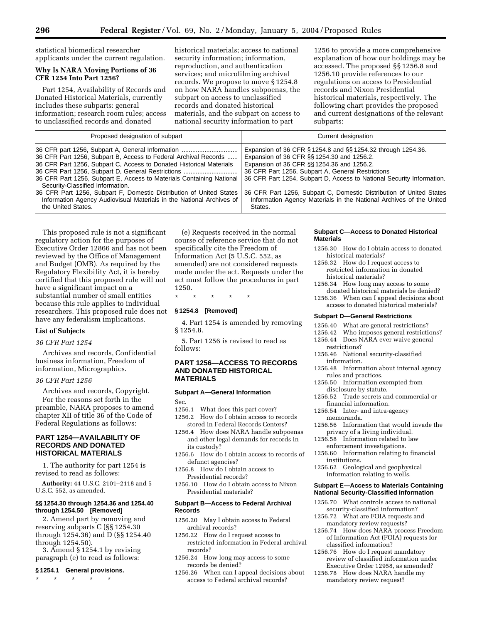statistical biomedical researcher applicants under the current regulation.

# **Why Is NARA Moving Portions of 36 CFR 1254 Into Part 1256?**

Part 1254, Availability of Records and Donated Historical Materials, currently includes these subparts: general information; research room rules; access to unclassified records and donated

historical materials; access to national security information; information, reproduction, and authentication services; and microfilming archival records. We propose to move § 1254.8 on how NARA handles subpoenas, the subpart on access to unclassified records and donated historical materials, and the subpart on access to national security information to part

1256 to provide a more comprehensive explanation of how our holdings may be accessed. The proposed §§ 1256.8 and 1256.10 provide references to our regulations on access to Presidential records and Nixon Presidential historical materials, respectively. The following chart provides the proposed and current designations of the relevant subparts:

| Proposed designation of subpart                                                                                                                                                                  | Current designation                                                                                                                                                      |
|--------------------------------------------------------------------------------------------------------------------------------------------------------------------------------------------------|--------------------------------------------------------------------------------------------------------------------------------------------------------------------------|
| 36 CFR part 1256, Subpart A, General Information<br>36 CFR Part 1256, Subpart B, Access to Federal Archival Records                                                                              | Expansion of 36 CFR § 1254.8 and §§ 1254.32 through 1254.36.<br>Expansion of 36 CFR §§ 1254.30 and 1256.2.                                                               |
| 36 CFR Part 1256, Subpart C, Access to Donated Historical Materials<br>36 CFR Part 1256, Subpart D, General Restrictions<br>36 CFR Part 1256, Subpart E, Access to Materials Containing National | Expansion of 36 CFR §§ 1254.36 and 1256.2.<br>36 CFR Part 1256, Subpart A, General Restrictions<br>36 CFR Part 1254, Subpart D, Access to National Security Information. |
| Security-Classified Information.<br>36 CFR Part 1256, Subpart F, Domestic Distribution of United States<br>Information Agency Audiovisual Materials in the National Archives of                  | 36 CFR Part 1256, Subpart C, Domestic Distribution of United States<br>Information Agency Materials in the National Archives of the United                               |
| the United States.                                                                                                                                                                               | States.                                                                                                                                                                  |

This proposed rule is not a significant regulatory action for the purposes of Executive Order 12866 and has not been reviewed by the Office of Management and Budget (OMB). As required by the Regulatory Flexibility Act, it is hereby certified that this proposed rule will not have a significant impact on a substantial number of small entities because this rule applies to individual researchers. This proposed rule does not have any federalism implications.

## **List of Subjects**

## *36 CFR Part 1254*

Archives and records, Confidential business information, Freedom of information, Micrographics.

## *36 CFR Part 1256*

Archives and records, Copyright. For the reasons set forth in the preamble, NARA proposes to amend chapter XII of title 36 of the Code of Federal Regulations as follows:

## **PART 1254—AVAILABILITY OF RECORDS AND DONATED HISTORICAL MATERIALS**

1. The authority for part 1254 is revised to read as follows:

**Authority:** 44 U.S.C. 2101–2118 and 5 U.S.C. 552, as amended.

# **§§ 1254.30 through 1254.36 and 1254.40 through 1254.50 [Removed]**

2. Amend part by removing and reserving subparts C (§§ 1254.30 through 1254.36) and D (§§ 1254.40 through 1254.50).

3. Amend § 1254.1 by revising paragraph (e) to read as follows:

#### **§ 1254.1 General provisions.**

\* \* \* \* \*

(e) Requests received in the normal course of reference service that do not specifically cite the Freedom of Information Act (5 U.S.C. 552, as amended) are not considered requests made under the act. Requests under the act must follow the procedures in part 1250.

\* \* \* \* \*

# **§ 1254.8 [Removed]**

4. Part 1254 is amended by removing § 1254.8.

5. Part 1256 is revised to read as follows:

## **PART 1256—ACCESS TO RECORDS AND DONATED HISTORICAL MATERIALS**

#### **Subpart A—General Information**

Sec.

- 1256.1 What does this part cover? 1256.2 How do I obtain access to records stored in Federal Records Centers?
- 1256.4 How does NARA handle subpoenas and other legal demands for records in its custody?
- 1256.6 How do I obtain access to records of defunct agencies?
- 1256.8 How do I obtain access to Presidential records?
- 1256.10 How do I obtain access to Nixon Presidential materials?

## **Subpart B—Access to Federal Archival Records**

- 1256.20 May I obtain access to Federal archival records?
- 1256.22 How do I request access to restricted information in Federal archival records?
- 1256.24 How long may access to some records be denied?
- 1256.26 When can I appeal decisions about access to Federal archival records?

## **Subpart C—Access to Donated Historical Materials**

- 1256.30 How do I obtain access to donated historical materials?
- 1256.32 How do I request access to restricted information in donated historical materials?
- 1256.34 How long may access to some donated historical materials be denied?
- 1256.36 When can I appeal decisions about access to donated historical materials?

#### **Subpart D—General Restrictions**

- 1256.40 What are general restrictions?<br>1256.42 Who imposes general restriction
- Who imposes general restrictions?
- 1256.44 Does NARA ever waive general restrictions?
- 1256.46 National security-classified information.
- 1256.48 Information about internal agency rules and practices.
- 1256.50 Information exempted from disclosure by statute.
- 1256.52 Trade secrets and commercial or financial information.
- 1256.54 Inter- and intra-agency memoranda.
- 1256.56 Information that would invade the privacy of a living individual.
- 1256.58 Information related to law enforcement investigations.
- 1256.60 Information relating to financial institutions.
- 1256.62 Geological and geophysical information relating to wells.

## **Subpart E—Access to Materials Containing National Security-Classified Information**

- 1256.70 What controls access to national security-classified information?
- 1256.72 What are FOIA requests and mandatory review requests?
- 1256.74 How does NARA process Freedom of Information Act (FOIA) requests for classified information?
- 1256.76 How do I request mandatory review of classified information under Executive Order 12958, as amended?
- 1256.78 How does NARA handle my mandatory review request?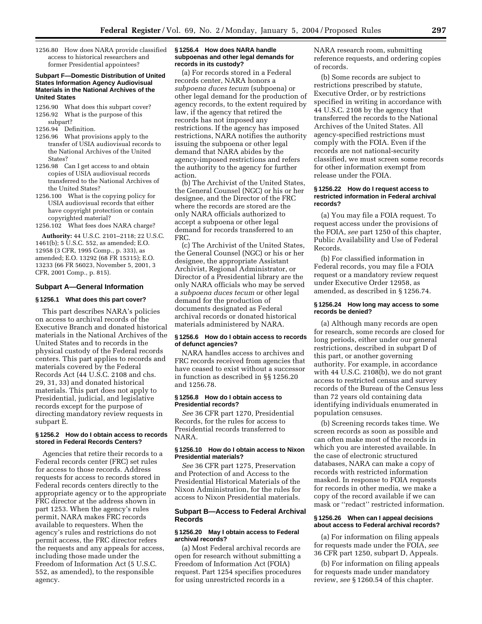1256.80 How does NARA provide classified access to historical researchers and former Presidential appointees?

#### **Subpart F—Domestic Distribution of United States Information Agency Audiovisual Materials in the National Archives of the United States**

- 1256.90 What does this subpart cover? 1256.92 What is the purpose of this subpart?
- 1256.94 Definition.
- 1256.96 What provisions apply to the transfer of USIA audiovisual records to the National Archives of the United States?
- 1256.98 Can I get access to and obtain copies of USIA audiovisual records transferred to the National Archives of the United States?
- 1256.100 What is the copying policy for USIA audiovisual records that either have copyright protection or contain copyrighted material?
- 1256.102 What fees does NARA charge?

**Authority:** 44 U.S.C. 2101–2118; 22 U.S.C. 1461(b); 5 U.S.C. 552, as amended; E.O. 12958 (3 CFR, 1995 Comp., p. 333), as amended; E.O. 13292 (68 FR 15315); E.O. 13233 (66 FR 56023, November 5, 2001, 3 CFR, 2001 Comp., p. 815).

# **Subpart A—General Information**

# **§ 1256.1 What does this part cover?**

This part describes NARA's policies on access to archival records of the Executive Branch and donated historical materials in the National Archives of the United States and to records in the physical custody of the Federal records centers. This part applies to records and materials covered by the Federal Records Act (44 U.S.C. 2108 and chs. 29, 31, 33) and donated historical materials. This part does not apply to Presidential, judicial, and legislative records except for the purpose of directing mandatory review requests in subpart E.

#### **§ 1256.2 How do I obtain access to records stored in Federal Records Centers?**

Agencies that retire their records to a Federal records center (FRC) set rules for access to those records. Address requests for access to records stored in Federal records centers directly to the appropriate agency or to the appropriate FRC director at the address shown in part 1253. When the agency's rules permit, NARA makes FRC records available to requesters. When the agency's rules and restrictions do not permit access, the FRC director refers the requests and any appeals for access, including those made under the Freedom of Information Act (5 U.S.C. 552, as amended), to the responsible agency.

#### **§ 1256.4 How does NARA handle subpoenas and other legal demands for records in its custody?**

(a) For records stored in a Federal records center, NARA honors a *subpoena duces tecum* (subpoena) or other legal demand for the production of agency records, to the extent required by law, if the agency that retired the records has not imposed any restrictions. If the agency has imposed restrictions, NARA notifies the authority issuing the subpoena or other legal demand that NARA abides by the agency-imposed restrictions and refers the authority to the agency for further action.

(b) The Archivist of the United States, the General Counsel (NGC) or his or her designee, and the Director of the FRC where the records are stored are the only NARA officials authorized to accept a subpoena or other legal demand for records transferred to an FRC.

(c) The Archivist of the United States, the General Counsel (NGC) or his or her designee, the appropriate Assistant Archivist, Regional Administrator, or Director of a Presidential library are the only NARA officials who may be served a *subpoena duces tecum* or other legal demand for the production of documents designated as Federal archival records or donated historical materials administered by NARA.

## **§ 1256.6 How do I obtain access to records of defunct agencies?**

NARA handles access to archives and FRC records received from agencies that have ceased to exist without a successor in function as described in §§ 1256.20 and 1256.78.

## **§ 1256.8 How do I obtain access to Presidential records?**

*See* 36 CFR part 1270, Presidential Records, for the rules for access to Presidential records transferred to NARA.

## **§ 1256.10 How do I obtain access to Nixon Presidential materials?**

*See* 36 CFR part 1275, Preservation and Protection of and Access to the Presidential Historical Materials of the Nixon Administration, for the rules for access to Nixon Presidential materials.

## **Subpart B—Access to Federal Archival Records**

## **§ 1256.20 May I obtain access to Federal archival records?**

(a) Most Federal archival records are open for research without submitting a Freedom of Information Act (FOIA) request. Part 1254 specifies procedures for using unrestricted records in a

NARA research room, submitting reference requests, and ordering copies of records.

(b) Some records are subject to restrictions prescribed by statute, Executive Order, or by restrictions specified in writing in accordance with 44 U.S.C. 2108 by the agency that transferred the records to the National Archives of the United States. All agency-specified restrictions must comply with the FOIA. Even if the records are not national-security classified, we must screen some records for other information exempt from release under the FOIA.

## **§ 1256.22 How do I request access to restricted information in Federal archival records?**

(a) You may file a FOIA request. To request access under the provisions of the FOIA, *see* part 1250 of this chapter, Public Availability and Use of Federal Records.

(b) For classified information in Federal records, you may file a FOIA request or a mandatory review request under Executive Order 12958, as amended, as described in § 1256.74.

# **§ 1256.24 How long may access to some records be denied?**

(a) Although many records are open for research, some records are closed for long periods, either under our general restrictions, described in subpart D of this part, or another governing authority. For example, in accordance with 44 U.S.C. 2108(b), we do not grant access to restricted census and survey records of the Bureau of the Census less than 72 years old containing data identifying individuals enumerated in population censuses.

(b) Screening records takes time. We screen records as soon as possible and can often make most of the records in which you are interested available. In the case of electronic structured databases, NARA can make a copy of records with restricted information masked. In response to FOIA requests for records in other media, we make a copy of the record available if we can mask or ''redact'' restricted information.

## **§ 1256.26 When can I appeal decisions about access to Federal archival records?**

(a) For information on filing appeals for requests made under the FOIA, *see* 36 CFR part 1250, subpart D, Appeals.

(b) For information on filing appeals for requests made under mandatory review, *see* § 1260.54 of this chapter.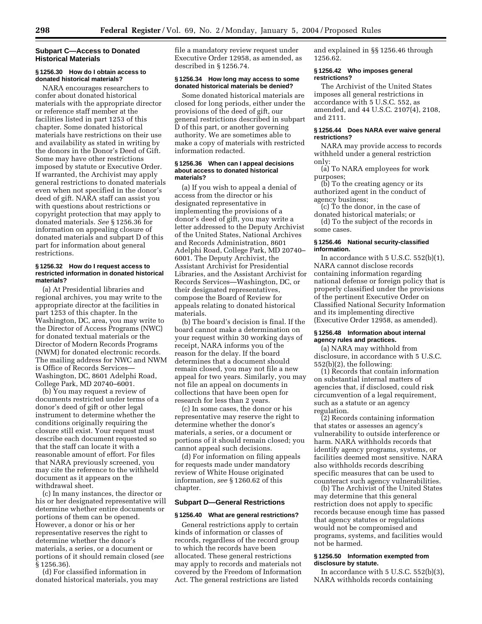## **Subpart C—Access to Donated Historical Materials**

## **§ 1256.30 How do I obtain access to donated historical materials?**

NARA encourages researchers to confer about donated historical materials with the appropriate director or reference staff member at the facilities listed in part 1253 of this chapter. Some donated historical materials have restrictions on their use and availability as stated in writing by the donors in the Donor's Deed of Gift. Some may have other restrictions imposed by statute or Executive Order. If warranted, the Archivist may apply general restrictions to donated materials even when not specified in the donor's deed of gift. NARA staff can assist you with questions about restrictions or copyright protection that may apply to donated materials. *See* § 1256.36 for information on appealing closure of donated materials and subpart D of this part for information about general restrictions.

## **§ 1256.32 How do I request access to restricted information in donated historical materials?**

(a) At Presidential libraries and regional archives, you may write to the appropriate director at the facilities in part 1253 of this chapter. In the Washington, DC, area, you may write to the Director of Access Programs (NWC) for donated textual materials or the Director of Modern Records Programs (NWM) for donated electronic records. The mailing address for NWC and NWM is Office of Records Services— Washington, DC, 8601 Adelphi Road, College Park, MD 20740–6001.

(b) You may request a review of documents restricted under terms of a donor's deed of gift or other legal instrument to determine whether the conditions originally requiring the closure still exist. Your request must describe each document requested so that the staff can locate it with a reasonable amount of effort. For files that NARA previously screened, you may cite the reference to the withheld document as it appears on the withdrawal sheet.

(c) In many instances, the director or his or her designated representative will determine whether entire documents or portions of them can be opened. However, a donor or his or her representative reserves the right to determine whether the donor's materials, a series, or a document or portions of it should remain closed (*see* § 1256.36).

(d) For classified information in donated historical materials, you may file a mandatory review request under Executive Order 12958, as amended, as described in § 1256.74.

## **§ 1256.34 How long may access to some donated historical materials be denied?**

Some donated historical materials are closed for long periods, either under the provisions of the deed of gift, our general restrictions described in subpart D of this part, or another governing authority. We are sometimes able to make a copy of materials with restricted information redacted.

#### **§ 1256.36 When can I appeal decisions about access to donated historical materials?**

(a) If you wish to appeal a denial of access from the director or his designated representative in implementing the provisions of a donor's deed of gift, you may write a letter addressed to the Deputy Archivist of the United States, National Archives and Records Administration, 8601 Adelphi Road, College Park, MD 20740– 6001. The Deputy Archivist, the Assistant Archivist for Presidential Libraries, and the Assistant Archivist for Records Services—Washington, DC, or their designated representatives, compose the Board of Review for appeals relating to donated historical materials.

(b) The board's decision is final. If the board cannot make a determination on your request within 30 working days of receipt, NARA informs you of the reason for the delay. If the board determines that a document should remain closed, you may not file a new appeal for two years. Similarly, you may not file an appeal on documents in collections that have been open for research for less than 2 years.

(c) In some cases, the donor or his representative may reserve the right to determine whether the donor's materials, a series, or a document or portions of it should remain closed; you cannot appeal such decisions.

(d) For information on filing appeals for requests made under mandatory review of White House originated information, *see* § 1260.62 of this chapter.

# **Subpart D—General Restrictions**

## **§ 1256.40 What are general restrictions?**

General restrictions apply to certain kinds of information or classes of records, regardless of the record group to which the records have been allocated. These general restrictions may apply to records and materials not covered by the Freedom of Information Act. The general restrictions are listed

and explained in §§ 1256.46 through 1256.62.

## **§ 1256.42 Who imposes general restrictions?**

The Archivist of the United States imposes all general restrictions in accordance with 5 U.S.C. 552, as amended, and 44 U.S.C. 2107(4), 2108, and 2111.

## **§ 1256.44 Does NARA ever waive general restrictions?**

NARA may provide access to records withheld under a general restriction only:

(a) To NARA employees for work purposes;

(b) To the creating agency or its authorized agent in the conduct of agency business;

(c) To the donor, in the case of donated historical materials; or

(d) To the subject of the records in some cases.

## **§ 1256.46 National security-classified information.**

In accordance with  $5$  U.S.C.  $552(b)(1)$ , NARA cannot disclose records containing information regarding national defense or foreign policy that is properly classified under the provisions of the pertinent Executive Order on Classified National Security Information and its implementing directive (Executive Order 12958, as amended).

## **§ 1256.48 Information about internal agency rules and practices.**

(a) NARA may withhold from disclosure, in accordance with 5 U.S.C. 552(b)(2), the following:

(1) Records that contain information on substantial internal matters of agencies that, if disclosed, could risk circumvention of a legal requirement, such as a statute or an agency regulation.

(2) Records containing information that states or assesses an agency's vulnerability to outside interference or harm. NARA withholds records that identify agency programs, systems, or facilities deemed most sensitive. NARA also withholds records describing specific measures that can be used to counteract such agency vulnerabilities.

(b) The Archivist of the United States may determine that this general restriction does not apply to specific records because enough time has passed that agency statutes or regulations would not be compromised and programs, systems, and facilities would not be harmed.

## **§ 1256.50 Information exempted from disclosure by statute.**

In accordance with  $5$  U.S.C.  $552(b)(3)$ , NARA withholds records containing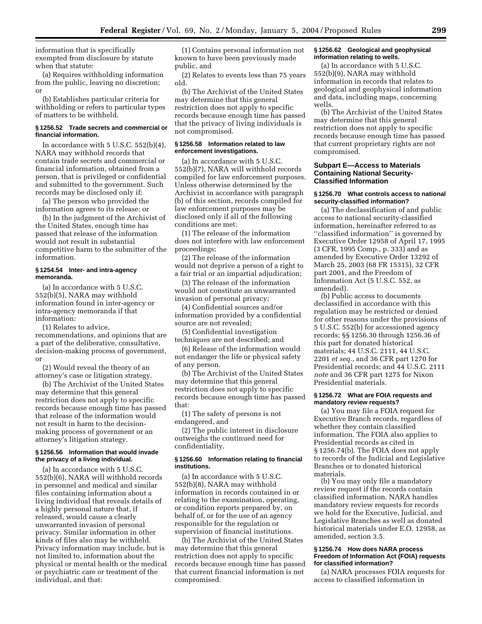information that is specifically exempted from disclosure by statute when that statute:

(a) Requires withholding information from the public, leaving no discretion; or

(b) Establishes particular criteria for withholding or refers to particular types of matters to be withheld.

## **§ 1256.52 Trade secrets and commercial or financial information.**

In accordance with  $5 \text{ U.S.C. } 552(b)(4)$ , NARA may withhold records that contain trade secrets and commercial or financial information, obtained from a person, that is privileged or confidential and submitted to the government. Such records may be disclosed only if:

(a) The person who provided the information agrees to its release; or

(b) In the judgment of the Archivist of the United States, enough time has passed that release of the information would not result in substantial competitive harm to the submitter of the information.

## **§ 1254.54 Inter- and intra-agency memoranda.**

(a) In accordance with 5 U.S.C. 552(b)(5), NARA may withhold information found in inter-agency or intra-agency memoranda if that information:

(1) Relates to advice, recommendations, and opinions that are a part of the deliberative, consultative, decision-making process of government, or

(2) Would reveal the theory of an attorney's case or litigation strategy.

(b) The Archivist of the United States may determine that this general restriction does not apply to specific records because enough time has passed that release of the information would not result in harm to the decisionmaking process of government or an attorney's litigation strategy.

## **§ 1256.56 Information that would invade the privacy of a living individual.**

(a) In accordance with 5 U.S.C. 552(b)(6), NARA will withhold records in personnel and medical and similar files containing information about a living individual that reveals details of a highly personal nature that, if released, would cause a clearly unwarranted invasion of personal privacy. Similar information in other kinds of files also may be withheld. Privacy information may include, but is not limited to, information about the physical or mental health or the medical or psychiatric care or treatment of the individual, and that:

(1) Contains personal information not known to have been previously made public, and

(2) Relates to events less than 75 years old.

(b) The Archivist of the United States may determine that this general restriction does not apply to specific records because enough time has passed that the privacy of living individuals is not compromised.

## **§ 1256.58 Information related to law enforcement investigations.**

(a) In accordance with 5 U.S.C. 552(b)(7), NARA will withhold records compiled for law enforcement purposes. Unless otherwise determined by the Archivist in accordance with paragraph (b) of this section, records compiled for law enforcement purposes may be disclosed only if all of the following conditions are met:

(1) The release of the information does not interfere with law enforcement proceedings;

(2) The release of the information would not deprive a person of a right to a fair trial or an impartial adjudication;

(3) The release of the information would not constitute an unwarranted invasion of personal privacy;

(4) Confidential sources and/or information provided by a confidential source are not revealed;

(5) Confidential investigation techniques are not described; and

(6) Release of the information would not endanger the life or physical safety of any person.

(b) The Archivist of the United States may determine that this general restriction does not apply to specific records because enough time has passed that:

(1) The safety of persons is not endangered, and

(2) The public interest in disclosure outweighs the continued need for confidentiality.

## **§ 1256.60 Information relating to financial institutions.**

(a) In accordance with 5 U.S.C. 552(b)(8), NARA may withhold information in records contained in or relating to the examination, operating, or condition reports prepared by, on behalf of, or for the use of an agency responsible for the regulation or supervision of financial institutions.

(b) The Archivist of the United States may determine that this general restriction does not apply to specific records because enough time has passed that current financial information is not compromised.

## **§ 1256.62 Geological and geophysical information relating to wells.**

(a) In accordance with 5 U.S.C. 552(b)(9), NARA may withhold information in records that relates to geological and geophysical information and data, including maps, concerning wells.

(b) The Archivist of the United States may determine that this general restriction does not apply to specific records because enough time has passed that current proprietary rights are not compromised.

## **Subpart E—Access to Materials Containing National Security-Classified Information**

# **§ 1256.70 What controls access to national security-classified information?**

(a) The declassification of and public access to national security-classified information, hereinafter referred to as ''classified information'' is governed by Executive Order 12958 of April 17, 1995 (3 CFR, 1995 Comp., p. 333) and as amended by Executive Order 13292 of March 25, 2003 (68 FR 15315), 32 CFR part 2001, and the Freedom of Information Act (5 U.S.C. 552, as amended).

(b) Public access to documents declassified in accordance with this regulation may be restricted or denied for other reasons under the provisions of 5 U.S.C. 552(b) for accessioned agency records; §§ 1256.30 through 1256.36 of this part for donated historical materials; 44 U.S.C. 2111, 44 U.S.C. 2201 *et seq.*, and 36 CFR part 1270 for Presidential records; and 44 U.S.C. 2111 *note* and 36 CFR part 1275 for Nixon Presidential materials.

## **§ 1256.72 What are FOIA requests and mandatory review requests?**

(a) You may file a FOIA request for Executive Branch records, regardless of whether they contain classified information. The FOIA also applies to Presidential records as cited in § 1256.74(b). The FOIA does not apply to records of the Judicial and Legislative Branches or to donated historical materials.

(b) You may only file a mandatory review request if the records contain classified information. NARA handles mandatory review requests for records we hold for the Executive, Judicial, and Legislative Branches as well as donated historical materials under E.O. 12958, as amended, section 3.5.

#### **§ 1256.74 How does NARA process Freedom of Information Act (FOIA) requests for classified information?**

(a) NARA processes FOIA requests for access to classified information in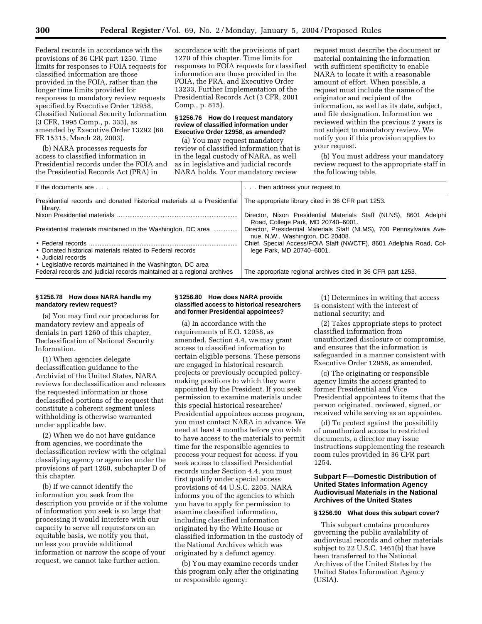Federal records in accordance with the provisions of 36 CFR part 1250. Time limits for responses to FOIA requests for classified information are those provided in the FOIA, rather than the longer time limits provided for responses to mandatory review requests specified by Executive Order 12958, Classified National Security Information (3 CFR, 1995 Comp., p. 333), as amended by Executive Order 13292 (68 FR 15315, March 28, 2003).

(b) NARA processes requests for access to classified information in Presidential records under the FOIA and the Presidential Records Act (PRA) in

accordance with the provisions of part 1270 of this chapter. Time limits for responses to FOIA requests for classified information are those provided in the FOIA, the PRA, and Executive Order 13233, Further Implementation of the Presidential Records Act (3 CFR, 2001 Comp., p. 815).

## **§ 1256.76 How do I request mandatory review of classified information under Executive Order 12958, as amended?**

(a) You may request mandatory review of classified information that is in the legal custody of NARA, as well as in legislative and judicial records NARA holds. Your mandatory review

request must describe the document or material containing the information with sufficient specificity to enable NARA to locate it with a reasonable amount of effort. When possible, a request must include the name of the originator and recipient of the information, as well as its date, subject, and file designation. Information we reviewed within the previous 2 years is not subject to mandatory review. We notify you if this provision applies to your request.

(b) You must address your mandatory review request to the appropriate staff in the following table.

| If the documents are                                                                | . then address your request to                                                                           |
|-------------------------------------------------------------------------------------|----------------------------------------------------------------------------------------------------------|
| Presidential records and donated historical materials at a Presidential<br>librarv. | The appropriate library cited in 36 CFR part 1253.                                                       |
|                                                                                     | Director, Nixon Presidential Materials Staff (NLNS), 8601 Adelphi<br>Road, College Park, MD 20740-6001.  |
| Presidential materials maintained in the Washington, DC area                        | Director, Presidential Materials Staff (NLMS), 700 Pennsylvania Ave-<br>nue, N.W., Washington, DC 20408. |
|                                                                                     | Chief, Special Access/FOIA Staff (NWCTF), 8601 Adelphia Road, Col-                                       |
| • Donated historical materials related to Federal records<br>• Judicial records     | lege Park, MD 20740-6001.                                                                                |
| • Legislative records maintained in the Washington, DC area                         |                                                                                                          |
| Federal records and judicial records maintained at a regional archives              | The appropriate regional archives cited in 36 CFR part 1253.                                             |

## **§ 1256.78 How does NARA handle my mandatory review request?**

(a) You may find our procedures for mandatory review and appeals of denials in part 1260 of this chapter, Declassification of National Security Information.

(1) When agencies delegate declassification guidance to the Archivist of the United States, NARA reviews for declassification and releases the requested information or those declassified portions of the request that constitute a coherent segment unless withholding is otherwise warranted under applicable law.

(2) When we do not have guidance from agencies, we coordinate the declassification review with the original classifying agency or agencies under the provisions of part 1260, subchapter D of this chapter.

(b) If we cannot identify the information you seek from the description you provide or if the volume of information you seek is so large that processing it would interfere with our capacity to serve all requestors on an equitable basis, we notify you that, unless you provide additional information or narrow the scope of your request, we cannot take further action.

#### **§ 1256.80 How does NARA provide classified access to historical researchers and former Presidential appointees?**

(a) In accordance with the requirements of E.O. 12958, as amended, Section 4.4, we may grant access to classified information to certain eligible persons. These persons are engaged in historical research projects or previously occupied policymaking positions to which they were appointed by the President. If you seek permission to examine materials under this special historical researcher/ Presidential appointees access program, you must contact NARA in advance. We need at least 4 months before you wish to have access to the materials to permit time for the responsible agencies to process your request for access. If you seek access to classified Presidential records under Section 4.4, you must first qualify under special access provisions of 44 U.S.C. 2205. NARA informs you of the agencies to which you have to apply for permission to examine classified information, including classified information originated by the White House or classified information in the custody of the National Archives which was originated by a defunct agency.

(b) You may examine records under this program only after the originating or responsible agency:

(1) Determines in writing that access is consistent with the interest of national security; and

(2) Takes appropriate steps to protect classified information from unauthorized disclosure or compromise, and ensures that the information is safeguarded in a manner consistent with Executive Order 12958, as amended.

(c) The originating or responsible agency limits the access granted to former Presidential and Vice Presidential appointees to items that the person originated, reviewed, signed, or received while serving as an appointee.

(d) To protect against the possibility of unauthorized access to restricted documents, a director may issue instructions supplementing the research room rules provided in 36 CFR part 1254.

# **Subpart F—Domestic Distribution of United States Information Agency Audiovisual Materials in the National Archives of the United States**

#### **§ 1256.90 What does this subpart cover?**

This subpart contains procedures governing the public availability of audiovisual records and other materials subject to 22 U.S.C. 1461(b) that have been transferred to the National Archives of the United States by the United States Information Agency (USIA).